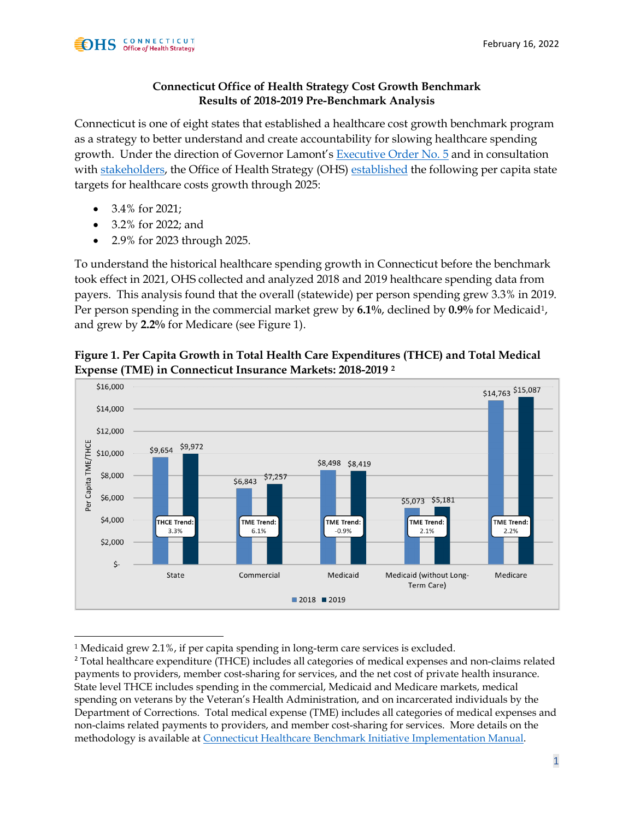## **Connecticut Office of Health Strategy Cost Growth Benchmark Results of 2018-2019 Pre-Benchmark Analysis**

Connecticut is one of eight states that established a healthcare cost growth benchmark program as a strategy to better understand and create accountability for slowing healthcare spending growth. Under the direction of Governor Lamont's [Executive Order No. 5](https://portal.ct.gov/-/media/Office-of-the-Governor/Executive-Orders/Lamont-Executive-Orders/Executive-Order-No-5.pdf) and in consultation with [stakeholders,](https://portal.ct.gov/OHS/Services/Cost-Growth-Quality-Benchmarks-Primary-Care-Target) the Office of Health Strategy (OHS) [established](https://portal.ct.gov/OHS/Services/Cost-Growth-Quality-Benchmarks-Primary-Care-Target) the following per capita state targets for healthcare costs growth through 2025:

- 3.4% for 2021;
- 3.2% for 2022; and
- 2.9% for 2023 through 2025.

To understand the historical healthcare spending growth in Connecticut before the benchmark took effect in 2021, OHS collected and analyzed 2018 and 2019 healthcare spending data from payers. This analysis found that the overall (statewide) per person spending grew 3.3% in 2019. Per person spending in the commercial market grew by **6.1%**, declined by **0.9%** for Medicaid[1](#page-0-0), and grew by **2.2%** for Medicare (see Figure 1).



**Figure 1. Per Capita Growth in Total Health Care Expenditures (THCE) and Total Medical Expense (TME) in Connecticut Insurance Markets: 2018-2019 [2](#page-0-1)**

<span id="page-0-0"></span><sup>&</sup>lt;sup>1</sup> Medicaid grew 2.1%, if per capita spending in long-term care services is excluded.

<span id="page-0-1"></span><sup>&</sup>lt;sup>2</sup> Total healthcare expenditure (THCE) includes all categories of medical expenses and non-claims related payments to providers, member cost-sharing for services, and the net cost of private health insurance. State level THCE includes spending in the commercial, Medicaid and Medicare markets, medical spending on veterans by the Veteran's Health Administration, and on incarcerated individuals by the Department of Corrections. Total medical expense (TME) includes all categories of medical expenses and non-claims related payments to providers, and member cost-sharing for services. More details on the methodology is available at [Connecticut Healthcare Benchmark Initiative Implementation Manual](https://portal.ct.gov/-/media/OHS/Cost-Growth-Benchmark/Guidance-for-Payer-and-Provider-Groups/CT-OHS-Implementation-Manual_final-v-1_5.pdf).